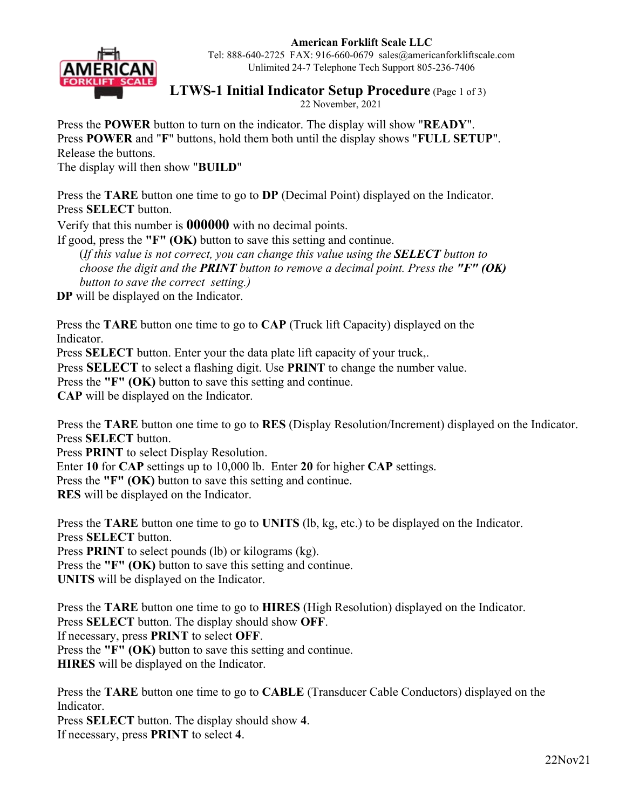**American Forklift Scale LLC** 



Tel: 888-640-2725 FAX: 916-660-0679 sales@americanforkliftscale.com Unlimited 24-7 Telephone Tech Support 805-236-7406

## **LTWS-1 Initial Indicator Setup Procedure** (Page 1 of 3)

22 November, 2021

Press the **POWER** button to turn on the indicator. The display will show "**READY**". Press **POWER** and "**F**" buttons, hold them both until the display shows "**FULL SETUP**". Release the buttons.

The display will then show "**BUILD**"

Press the **TARE** button one time to go to **DP** (Decimal Point) displayed on the Indicator. Press **SELECT** button.

Verify that this number is **000000** with no decimal points.

If good, press the **"F" (OK)** button to save this setting and continue.

(*If this value is not correct, you can change this value using the SELECT button to choose the digit and the PRINT button to remove a decimal point. Press the "F" (OK) button to save the correct setting.)*

**DP** will be displayed on the Indicator.

Press the **TARE** button one time to go to **CAP** (Truck lift Capacity) displayed on the Indicator.

Press **SELECT** button. Enter your the data plate lift capacity of your truck,.

Press **SELECT** to select a flashing digit. Use **PRINT** to change the number value.

Press the **"F"** (OK) button to save this setting and continue.

**CAP** will be displayed on the Indicator.

Press the **TARE** button one time to go to **RES** (Display Resolution/Increment) displayed on the Indicator. Press **SELECT** button.

Press **PRINT** to select Display Resolution.

Enter **10** for **CAP** settings up to 10,000 lb. Enter **20** for higher **CAP** settings.

Press the "F" (OK) button to save this setting and continue.

**RES** will be displayed on the Indicator.

Press the **TARE** button one time to go to **UNITS** (lb, kg, etc.) to be displayed on the Indicator. Press **SELECT** button.

Press **PRINT** to select pounds (lb) or kilograms (kg).

Press the **"F"** (OK) button to save this setting and continue.

**UNITS** will be displayed on the Indicator.

Press the **TARE** button one time to go to **HIRES** (High Resolution) displayed on the Indicator. Press **SELECT** button. The display should show **OFF**. If necessary, press **PRINT** to select **OFF**. Press the "F" (OK) button to save this setting and continue. **HIRES** will be displayed on the Indicator.

Press the **TARE** button one time to go to **CABLE** (Transducer Cable Conductors) displayed on the Indicator.

Press **SELECT** button. The display should show **4**. If necessary, press **PRINT** to select **4**.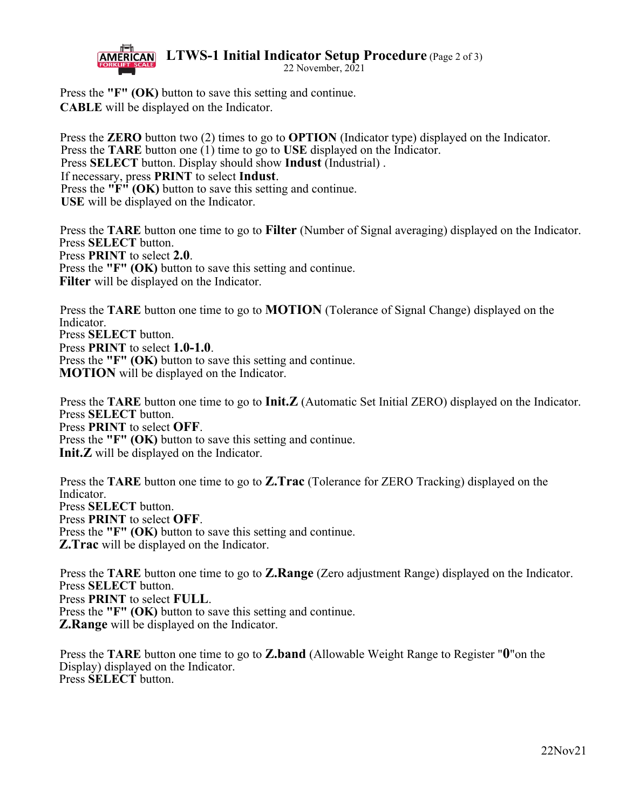**AMERICAN** LTWS-1 Initial Indicator Setup Procedure (Page 2 of 3)



22 November,  $20\overline{2}1$ 

Press the **"F" (OK)** button to save this setting and continue. **CABLE** will be displayed on the Indicator.

Press the **ZERO** button two (2) times to go to **OPTION** (Indicator type) displayed on the Indicator. Press the **TARE** button one (1) time to go to **USE** displayed on the Indicator. Press **SELECT** button. Display should show **Indust** (Industrial) . If necessary, press **PRINT** to select **Indust**. Press the **"F"** (OK) button to save this setting and continue. **USE** will be displayed on the Indicator.

Press the **TARE** button one time to go to **Filter** (Number of Signal averaging) displayed on the Indicator. Press **SELECT** button. Press **PRINT** to select **2.0**. Press the **"F"** (OK) button to save this setting and continue. **Filter** will be displayed on the Indicator.

Press the **TARE** button one time to go to **MOTION** (Tolerance of Signal Change) displayed on the **Indicator** Press **SELECT** button. Press **PRINT** to select **1.0-1.0**. Press the **"F" (OK)** button to save this setting and continue. **MOTION** will be displayed on the Indicator.

Press the **TARE** button one time to go to **Init.Z** (Automatic Set Initial ZERO) displayed on the Indicator. Press **SELECT** button. Press **PRINT** to select **OFF**. Press the **"F"** (OK) button to save this setting and continue. **Init.Z** will be displayed on the Indicator.

Press the **TARE** button one time to go to **Z.Trac** (Tolerance for ZERO Tracking) displayed on the **Indicator** Press **SELECT** button. Press **PRINT** to select **OFF**. Press the **"F"** (OK) button to save this setting and continue. **Z.Trac** will be displayed on the Indicator.

Press the **TARE** button one time to go to **Z.Range** (Zero adjustment Range) displayed on the Indicator. Press **SELECT** button. Press **PRINT** to select **FULL**. Press the **"F"** (OK) button to save this setting and continue. **Z.Range** will be displayed on the Indicator.

Press the **TARE** button one time to go to **Z.band** (Allowable Weight Range to Register "**0**"on the Display) displayed on the Indicator. Press **SELECT** button.